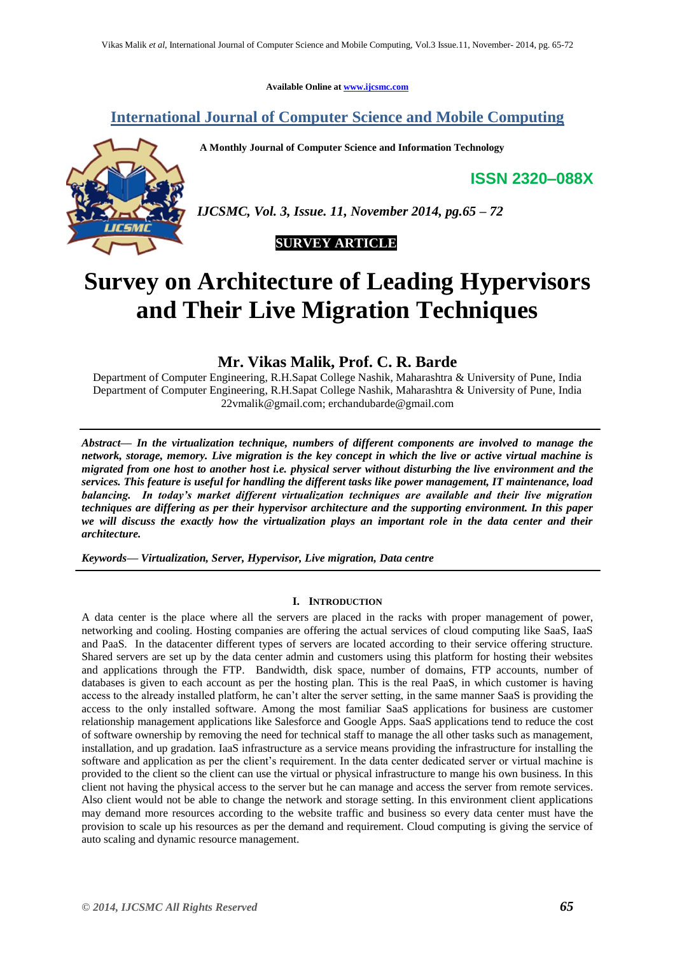**Available Online at [www.ijcsmc.com](http://www.ijcsmc.com/)**

# **International Journal of Computer Science and Mobile Computing**

**A Monthly Journal of Computer Science and Information Technology**

**ISSN 2320–088X**



*IJCSMC, Vol. 3, Issue. 11, November 2014, pg.65 – 72*



# **Survey on Architecture of Leading Hypervisors and Their Live Migration Techniques**

**Mr. Vikas Malik, Prof. C. R. Barde**

Department of Computer Engineering, R.H.Sapat College Nashik, Maharashtra & University of Pune, India Department of Computer Engineering, R.H.Sapat College Nashik, Maharashtra & University of Pune, India [22vmalik@gmail.com;](mailto:22vmalik@gmail.com;%20e) erchandubarde@gmail.com

*Abstract— In the virtualization technique, numbers of different components are involved to manage the network, storage, memory. Live migration is the key concept in which the live or active virtual machine is migrated from one host to another host i.e. physical server without disturbing the live environment and the services. This feature is useful for handling the different tasks like power management, IT maintenance, load balancing. In today's market different virtualization techniques are available and their live migration techniques are differing as per their hypervisor architecture and the supporting environment. In this paper we will discuss the exactly how the virtualization plays an important role in the data center and their architecture.*

*Keywords— Virtualization, Server, Hypervisor, Live migration, Data centre*

# **I. INTRODUCTION**

A data center is the place where all the servers are placed in the racks with proper management of power, networking and cooling. Hosting companies are offering the actual services of cloud computing like SaaS, IaaS and PaaS. In the datacenter different types of servers are located according to their service offering structure. Shared servers are set up by the data center admin and customers using this platform for hosting their websites and applications through the FTP. Bandwidth, disk space, number of domains, FTP accounts, number of databases is given to each account as per the hosting plan. This is the real PaaS, in which customer is having access to the already installed platform, he can't alter the server setting, in the same manner SaaS is providing the access to the only installed software. Among the most familiar SaaS applications for business are customer relationship management applications like Salesforce and Google Apps. SaaS applications tend to reduce the cost of software ownership by removing the need for technical staff to manage the all other tasks such as management, installation, and up gradation. IaaS infrastructure as a service means providing the infrastructure for installing the software and application as per the client's requirement. In the data center dedicated server or virtual machine is provided to the client so the client can use the virtual or physical infrastructure to mange his own business. In this client not having the physical access to the server but he can manage and access the server from remote services. Also client would not be able to change the network and storage setting. In this environment client applications may demand more resources according to the website traffic and business so every data center must have the provision to scale up his resources as per the demand and requirement. Cloud computing is giving the service of auto scaling and dynamic resource management.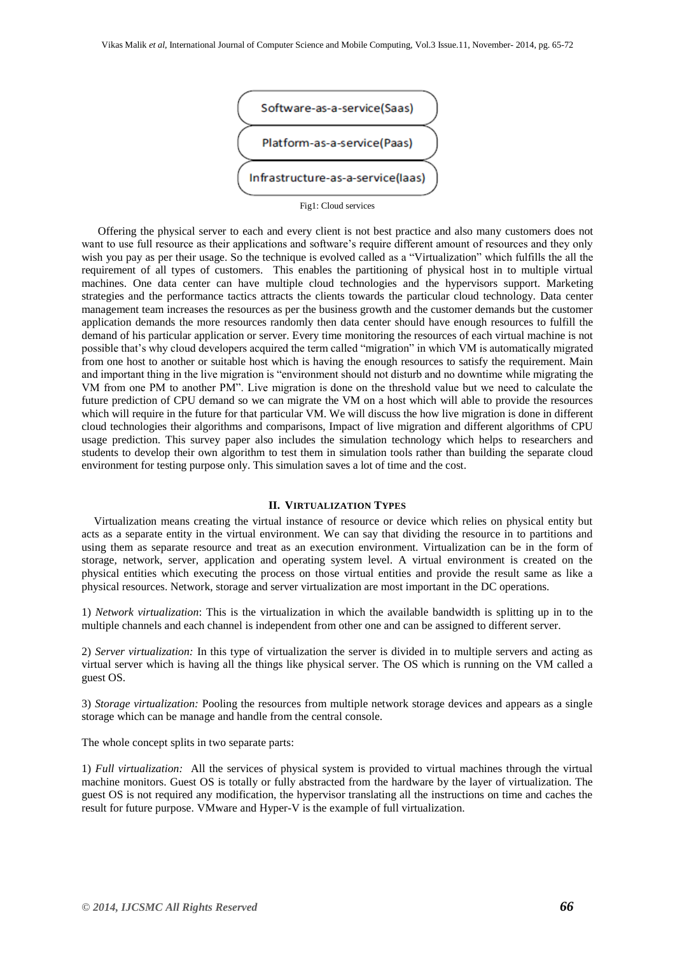

Fig1: Cloud services

Offering the physical server to each and every client is not best practice and also many customers does not want to use full resource as their applications and software's require different amount of resources and they only wish you pay as per their usage. So the technique is evolved called as a "Virtualization" which fulfills the all the requirement of all types of customers. This enables the partitioning of physical host in to multiple virtual machines. One data center can have multiple cloud technologies and the hypervisors support. Marketing strategies and the performance tactics attracts the clients towards the particular cloud technology. Data center management team increases the resources as per the business growth and the customer demands but the customer application demands the more resources randomly then data center should have enough resources to fulfill the demand of his particular application or server. Every time monitoring the resources of each virtual machine is not possible that's why cloud developers acquired the term called "migration" in which VM is automatically migrated from one host to another or suitable host which is having the enough resources to satisfy the requirement. Main and important thing in the live migration is "environment should not disturb and no downtime while migrating the VM from one PM to another PM". Live migration is done on the threshold value but we need to calculate the future prediction of CPU demand so we can migrate the VM on a host which will able to provide the resources which will require in the future for that particular VM. We will discuss the how live migration is done in different cloud technologies their algorithms and comparisons, Impact of live migration and different algorithms of CPU usage prediction. This survey paper also includes the simulation technology which helps to researchers and students to develop their own algorithm to test them in simulation tools rather than building the separate cloud environment for testing purpose only. This simulation saves a lot of time and the cost.

## **II. VIRTUALIZATION TYPES**

Virtualization means creating the virtual instance of resource or device which relies on physical entity but acts as a separate entity in the virtual environment. We can say that dividing the resource in to partitions and using them as separate resource and treat as an execution environment. Virtualization can be in the form of storage, network, server, application and operating system level. A virtual environment is created on the physical entities which executing the process on those virtual entities and provide the result same as like a physical resources. Network, storage and server virtualization are most important in the DC operations.

1) *Network virtualization*: This is the virtualization in which the available bandwidth is splitting up in to the multiple channels and each channel is independent from other one and can be assigned to different server.

2) *Server virtualization:* In this type of virtualization the server is divided in to multiple servers and acting as virtual server which is having all the things like physical server. The OS which is running on the VM called a guest OS.

3) *Storage virtualization:* Pooling the resources from multiple network storage devices and appears as a single storage which can be manage and handle from the central console.

The whole concept splits in two separate parts:

1) *Full virtualization:* All the services of physical system is provided to virtual machines through the virtual machine monitors. Guest OS is totally or fully abstracted from the hardware by the layer of virtualization. The guest OS is not required any modification, the hypervisor translating all the instructions on time and caches the result for future purpose. VMware and Hyper-V is the example of full virtualization.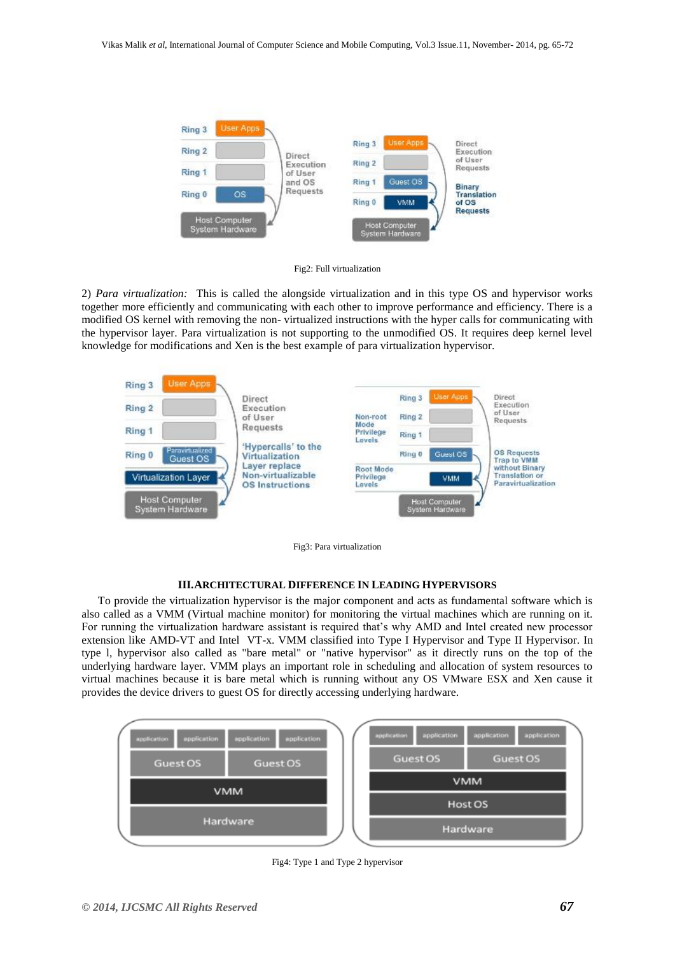



2) *Para virtualization:* This is called the alongside virtualization and in this type OS and hypervisor works together more efficiently and communicating with each other to improve performance and efficiency. There is a modified OS kernel with removing the non- virtualized instructions with the hyper calls for communicating with the hypervisor layer. Para virtualization is not supporting to the unmodified OS. It requires deep kernel level knowledge for modifications and Xen is the best example of para virtualization hypervisor.

| <b>User Apps</b><br>Ring 3                     |                                                                                                                                           |                                         |        |                                         |                                                                                                                                  |
|------------------------------------------------|-------------------------------------------------------------------------------------------------------------------------------------------|-----------------------------------------|--------|-----------------------------------------|----------------------------------------------------------------------------------------------------------------------------------|
|                                                | Direct                                                                                                                                    |                                         | Ring 3 | User Apps                               | Direct<br><b>Execution</b>                                                                                                       |
| Ring 2                                         | Execution<br>of User<br>Requests<br>'Hypercalls' to the<br>Virtualization<br>Layer replace<br>Non-virtualizable<br><b>OS Instructions</b> | Non-root<br>Mode<br>Privilege<br>Levels | Ring 2 |                                         | of User<br>Requests<br><b>OS Requests</b><br><b>Trap to VMM</b><br>without Binary<br><b>Translation or</b><br>Paravirtualization |
| Ring 1                                         |                                                                                                                                           |                                         | Ring 1 |                                         |                                                                                                                                  |
| Paravirtualized<br>Ring 0<br>Guest OS          |                                                                                                                                           |                                         | Ring 0 | Guest OS                                |                                                                                                                                  |
| Virtualization Layer                           |                                                                                                                                           | Root Mode<br>Privilege<br>Levels        |        | <b>VMM</b>                              |                                                                                                                                  |
| <b>Host Computer</b><br><b>System Hardware</b> |                                                                                                                                           |                                         |        | <b>Host Computer</b><br>System Hardware |                                                                                                                                  |

Fig3: Para virtualization

#### **III.ARCHITECTURAL DIFFERENCE IN LEADING HYPERVISORS**

To provide the virtualization hypervisor is the major component and acts as fundamental software which is also called as a VMM (Virtual machine monitor) for monitoring the virtual machines which are running on it. For running the virtualization hardware assistant is required that's why AMD and Intel created new processor extension like AMD-VT and Intel VT-x. VMM classified into Type I Hypervisor and Type II Hypervisor. In type l, hypervisor also called as "bare metal" or "native hypervisor" as it directly runs on the top of the underlying hardware layer. VMM plays an important role in scheduling and allocation of system resources to virtual machines because it is bare metal which is running without any OS VMware ESX and Xen cause it provides the device drivers to guest OS for directly accessing underlying hardware.



Fig4: Type 1 and Type 2 hypervisor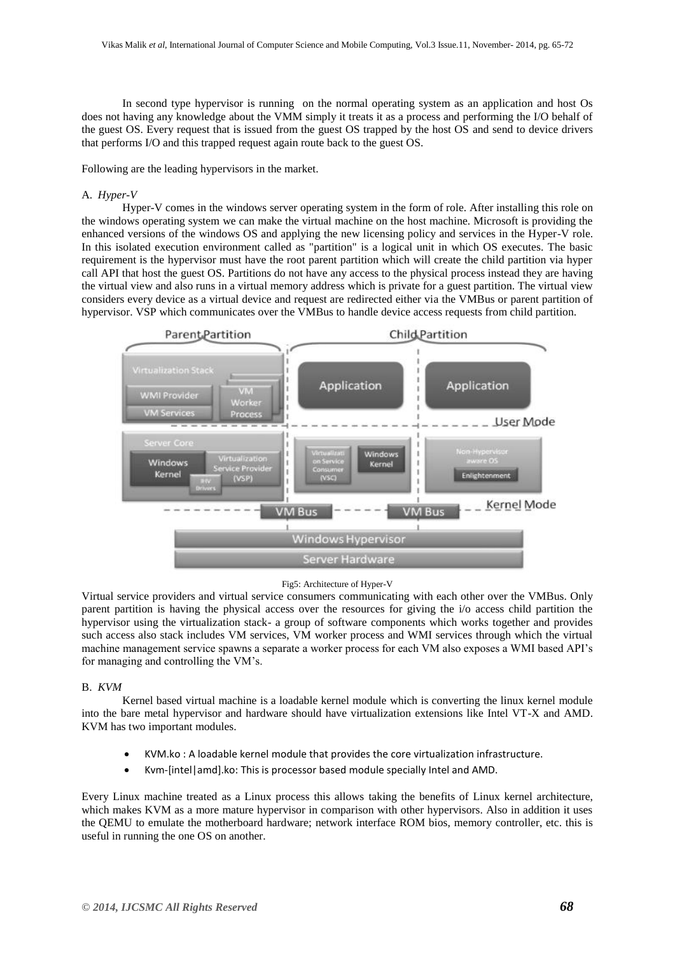In second type hypervisor is running on the normal operating system as an application and host Os does not having any knowledge about the VMM simply it treats it as a process and performing the I/O behalf of the guest OS. Every request that is issued from the guest OS trapped by the host OS and send to device drivers that performs I/O and this trapped request again route back to the guest OS.

Following are the leading hypervisors in the market.

# A. *Hyper-V*

Hyper-V comes in the windows server operating system in the form of role. After installing this role on the windows operating system we can make the virtual machine on the host machine. Microsoft is providing the enhanced versions of the windows OS and applying the new licensing policy and services in the Hyper-V role. In this isolated execution environment called as "partition" is a logical unit in which OS executes. The basic requirement is the hypervisor must have the root parent partition which will create the child partition via hyper call API that host the guest OS. Partitions do not have any access to the physical process instead they are having the virtual view and also runs in a virtual memory address which is private for a guest partition. The virtual view considers every device as a virtual device and request are redirected either via the VMBus or parent partition of hypervisor. VSP which communicates over the VMBus to handle device access requests from child partition.



#### Fig5: Architecture of Hyper-V

Virtual service providers and virtual service consumers communicating with each other over the VMBus. Only parent partition is having the physical access over the resources for giving the i/o access child partition the hypervisor using the virtualization stack- a group of software components which works together and provides such access also stack includes VM services, VM worker process and WMI services through which the virtual machine management service spawns a separate a worker process for each VM also exposes a WMI based API's for managing and controlling the VM's.

# B. *KVM*

Kernel based virtual machine is a loadable kernel module which is converting the linux kernel module into the bare metal hypervisor and hardware should have virtualization extensions like Intel VT-X and AMD. KVM has two important modules.

- KVM.ko : A loadable kernel module that provides the core virtualization infrastructure.
- Kvm-[intel|amd].ko: This is processor based module specially Intel and AMD.

Every Linux machine treated as a Linux process this allows taking the benefits of Linux kernel architecture, which makes KVM as a more mature hypervisor in comparison with other hypervisors. Also in addition it uses the QEMU to emulate the motherboard hardware; network interface ROM bios, memory controller, etc. this is useful in running the one OS on another.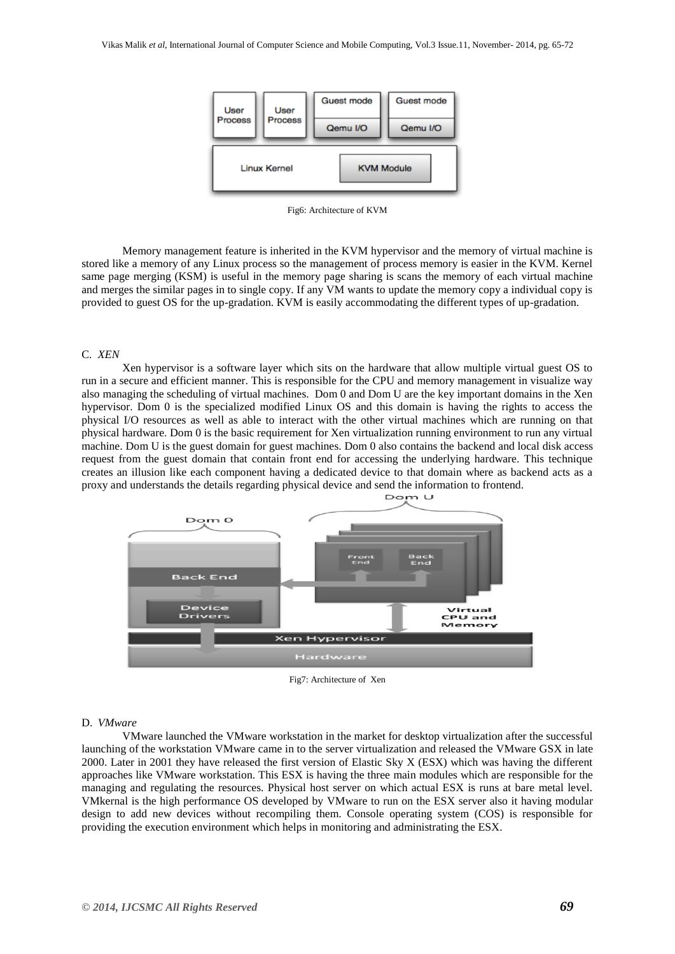

Fig6: Architecture of KVM

Memory management feature is inherited in the KVM hypervisor and the memory of virtual machine is stored like a memory of any Linux process so the management of process memory is easier in the KVM. Kernel same page merging (KSM) is useful in the memory page sharing is scans the memory of each virtual machine and merges the similar pages in to single copy. If any VM wants to update the memory copy a individual copy is provided to guest OS for the up-gradation. KVM is easily accommodating the different types of up-gradation.

# C. *XEN*

Xen hypervisor is a software layer which sits on the hardware that allow multiple virtual guest OS to run in a secure and efficient manner. This is responsible for the CPU and memory management in visualize way also managing the scheduling of virtual machines. Dom 0 and Dom U are the key important domains in the Xen hypervisor. Dom 0 is the specialized modified Linux OS and this domain is having the rights to access the physical I/O resources as well as able to interact with the other virtual machines which are running on that physical hardware. Dom 0 is the basic requirement for Xen virtualization running environment to run any virtual machine. Dom U is the guest domain for guest machines. Dom 0 also contains the backend and local disk access request from the guest domain that contain front end for accessing the underlying hardware. This technique creates an illusion like each component having a dedicated device to that domain where as backend acts as a proxy and understands the details regarding physical device and send the information to frontend.



Fig7: Architecture of Xen

#### D. *VMware*

VMware launched the VMware workstation in the market for desktop virtualization after the successful launching of the workstation VMware came in to the server virtualization and released the VMware GSX in late 2000. Later in 2001 they have released the first version of Elastic Sky X (ESX) which was having the different approaches like VMware workstation. This ESX is having the three main modules which are responsible for the managing and regulating the resources. Physical host server on which actual ESX is runs at bare metal level. VMkernal is the high performance OS developed by VMware to run on the ESX server also it having modular design to add new devices without recompiling them. Console operating system (COS) is responsible for providing the execution environment which helps in monitoring and administrating the ESX.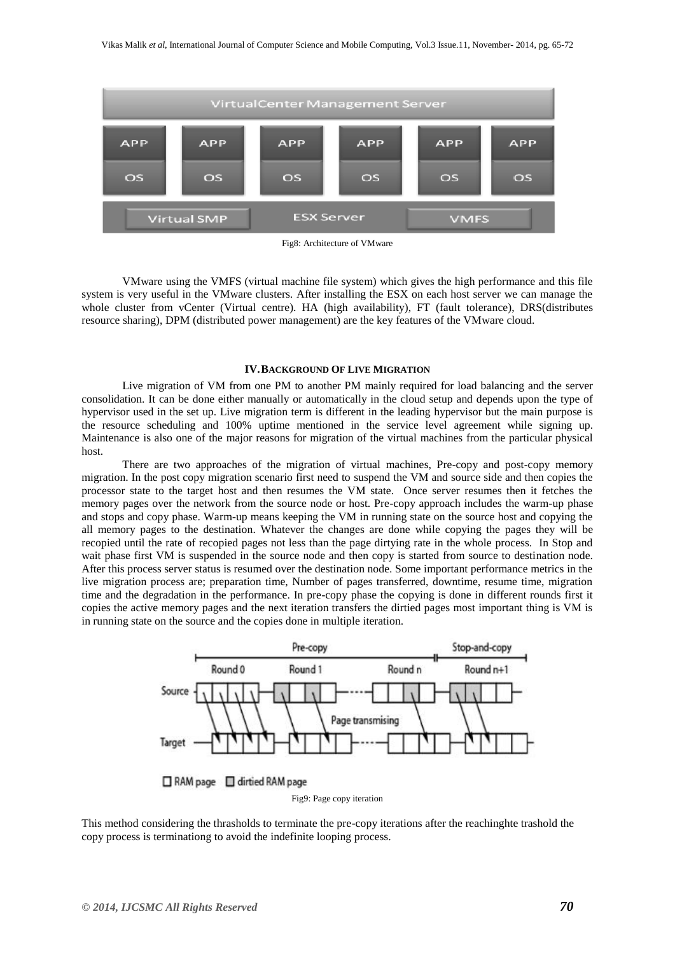

Fig8: Architecture of VMware

VMware using the VMFS (virtual machine file system) which gives the high performance and this file system is very useful in the VMware clusters. After installing the ESX on each host server we can manage the whole cluster from vCenter (Virtual centre). HA (high availability), FT (fault tolerance), DRS(distributes resource sharing), DPM (distributed power management) are the key features of the VMware cloud.

## **IV.BACKGROUND OF LIVE MIGRATION**

Live migration of VM from one PM to another PM mainly required for load balancing and the server consolidation. It can be done either manually or automatically in the cloud setup and depends upon the type of hypervisor used in the set up. Live migration term is different in the leading hypervisor but the main purpose is the resource scheduling and 100% uptime mentioned in the service level agreement while signing up. Maintenance is also one of the major reasons for migration of the virtual machines from the particular physical host.

There are two approaches of the migration of virtual machines, Pre-copy and post-copy memory migration. In the post copy migration scenario first need to suspend the VM and source side and then copies the processor state to the target host and then resumes the VM state. Once server resumes then it fetches the memory pages over the network from the source node or host. Pre-copy approach includes the warm-up phase and stops and copy phase. Warm-up means keeping the VM in running state on the source host and copying the all memory pages to the destination. Whatever the changes are done while copying the pages they will be recopied until the rate of recopied pages not less than the page dirtying rate in the whole process. In Stop and wait phase first VM is suspended in the source node and then copy is started from source to destination node. After this process server status is resumed over the destination node. Some important performance metrics in the live migration process are; preparation time, Number of pages transferred, downtime, resume time, migration time and the degradation in the performance. In pre-copy phase the copying is done in different rounds first it copies the active memory pages and the next iteration transfers the dirtied pages most important thing is VM is in running state on the source and the copies done in multiple iteration.



Fig9: Page copy iteration

This method considering the thrasholds to terminate the pre-copy iterations after the reachinghte trashold the copy process is terminationg to avoid the indefinite looping process.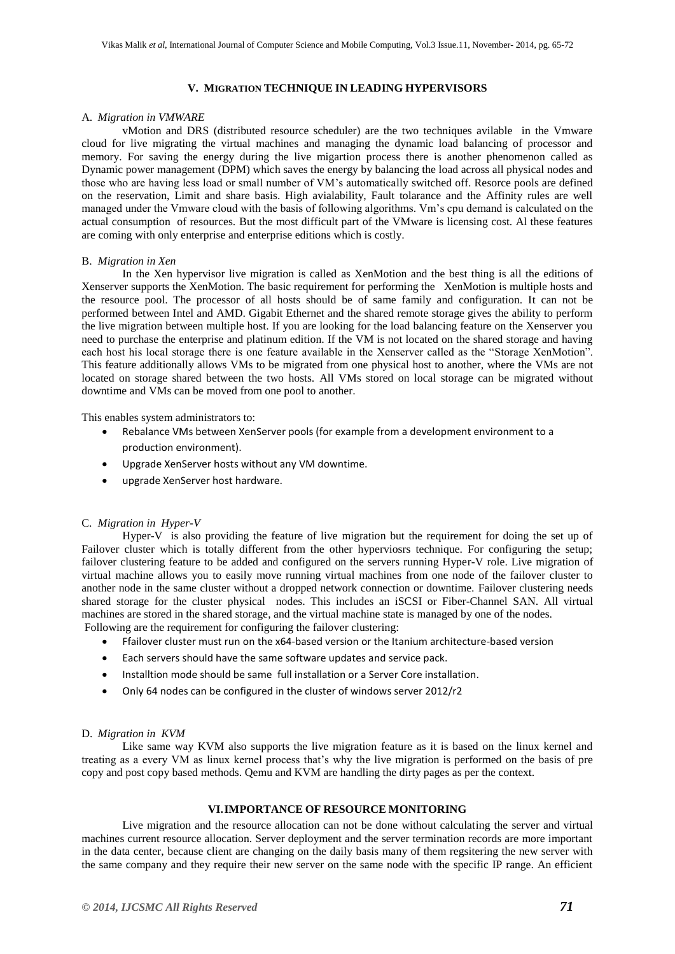## **V. MIGRATION TECHNIQUE IN LEADING HYPERVISORS**

# A. *Migration in VMWARE*

vMotion and DRS (distributed resource scheduler) are the two techniques avilable in the Vmware cloud for live migrating the virtual machines and managing the dynamic load balancing of processor and memory. For saving the energy during the live migartion process there is another phenomenon called as Dynamic power management (DPM) which saves the energy by balancing the load across all physical nodes and those who are having less load or small number of VM's automatically switched off. Resorce pools are defined on the reservation, Limit and share basis. High avialability, Fault tolarance and the Affinity rules are well managed under the Vmware cloud with the basis of following algorithms. Vm's cpu demand is calculated on the actual consumption of resources. But the most difficult part of the VMware is licensing cost. Al these features are coming with only enterprise and enterprise editions which is costly.

#### B. *Migration in Xen*

In the Xen hypervisor live migration is called as XenMotion and the best thing is all the editions of Xenserver supports the XenMotion. The basic requirement for performing the XenMotion is multiple hosts and the resource pool. The processor of all hosts should be of same family and configuration. It can not be performed between Intel and AMD. Gigabit Ethernet and the shared remote storage gives the ability to perform the live migration between multiple host. If you are looking for the load balancing feature on the Xenserver you need to purchase the enterprise and platinum edition. If the VM is not located on the shared storage and having each host his local storage there is one feature available in the Xenserver called as the "Storage XenMotion". This feature additionally allows VMs to be migrated from one physical host to another, where the VMs are not located on storage shared between the two hosts. All VMs stored on local storage can be migrated without downtime and VMs can be moved from one pool to another.

This enables system administrators to:

- Rebalance VMs between XenServer pools (for example from a development environment to a production environment).
- Upgrade XenServer hosts without any VM downtime.
- upgrade XenServer host hardware.

#### C. *Migration in Hyper-V*

Hyper-V is also providing the feature of live migration but the requirement for doing the set up of Failover cluster which is totally different from the other hyperviosrs technique. For configuring the setup; failover clustering feature to be added and configured on the servers running Hyper-V role. Live migration of virtual machine allows you to easily move running virtual machines from one node of the failover cluster to another node in the same cluster without a dropped network connection or downtime. Failover clustering needs shared storage for the cluster physical nodes. This includes an iSCSI or Fiber-Channel SAN. All virtual machines are stored in the shared storage, and the virtual machine state is managed by one of the nodes. Following are the requirement for configuring the failover clustering:

- Ffailover cluster must run on the x64-based version or the Itanium architecture-based version
- Each servers should have the same software updates and service pack.
- Installtion mode should be same full installation or a Server Core installation.
- Only 64 nodes can be configured in the cluster of windows server 2012/r2

#### D. *Migration in KVM*

Like same way KVM also supports the live migration feature as it is based on the linux kernel and treating as a every VM as linux kernel process that's why the live migration is performed on the basis of pre copy and post copy based methods. Qemu and KVM are handling the dirty pages as per the context.

# **VI.IMPORTANCE OF RESOURCE MONITORING**

Live migration and the resource allocation can not be done without calculating the server and virtual machines current resource allocation. Server deployment and the server termination records are more important in the data center, because client are changing on the daily basis many of them regsitering the new server with the same company and they require their new server on the same node with the specific IP range. An efficient